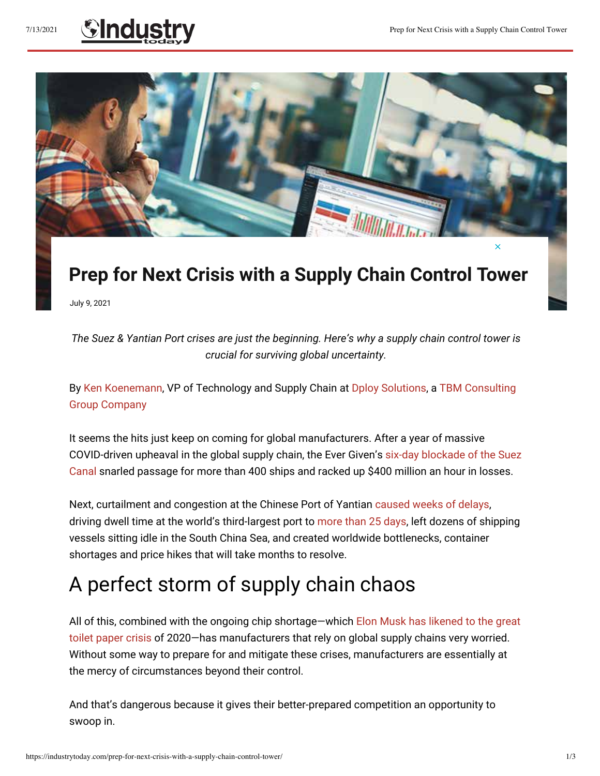## 7/13/2021 **Control Tower** Prep for Next Crisis with a Supply Chain Control Tower



## **Prep for Next Crisis with a Supply Chain Control Tower**

July 9, 2021

*The Suez & Yantian Port crises are just the beginning. Here's why a supply chain control tower is crucial for surviving global uncertainty.*

B[y Ken Koenemann, V](https://www.tbmcg.com/people/ken-koenemann/)P of Technology and Supply Chain a[t Dploy Solutions,](https://www.dploysolutions.com/) [a TBM Consulting](https://www.tbmcg.com/)  [Group Company](https://www.tbmcg.com/)

It seems the hits just keep on coming for global manufacturers. After a year of massive COVID-driven upheaval in the global supply chain, the Ever Given'[s six-day blockade of the Suez](https://theweek.com/speedreads/973967/suez-canal-blockage-reportedly-costing-400-million-hour-could-last-weeks)  [Canal](https://theweek.com/speedreads/973967/suez-canal-blockage-reportedly-costing-400-million-hour-could-last-weeks) snarled passage for more than 400 ships and racked up \$400 million an hour in losses.

Next, curtailment and congestion at the Chinese Port of Yantia[n caused weeks of delays,](https://www.freightwaves.com/news/yantian-port-back-at-full-speed-box-recovery-could-take-a-month)  driving dwell time at the world's third-largest port t[o more than 25 days,](https://www.supplychaindive.com/news/yantian-china-port-covid-charts-data-congestion-ships-supply-chain/602014/) left dozens of shipping vessels sitting idle in the South China Sea, and created worldwide bottlenecks, container shortages and price hikes that will take months to resolve.

## A perfect storm of supply chain chaos

All of this, combined with the ongoing chip shortage—which [Elon Musk has likened to the great](https://www.businessinsider.com/elon-musk-says-chip-shortage-is-like-toilet-paper-frenzy-2021-6)  [toilet paper crisis o](https://www.businessinsider.com/elon-musk-says-chip-shortage-is-like-toilet-paper-frenzy-2021-6)f 2020—has manufacturers that rely on global supply chains very worried. Without some way to prepare for and mitigate these crises, manufacturers are essentially at the mercy of circumstances beyond their control.

And that's dangerous because it gives their better-prepared competition an opportunity to swoop in.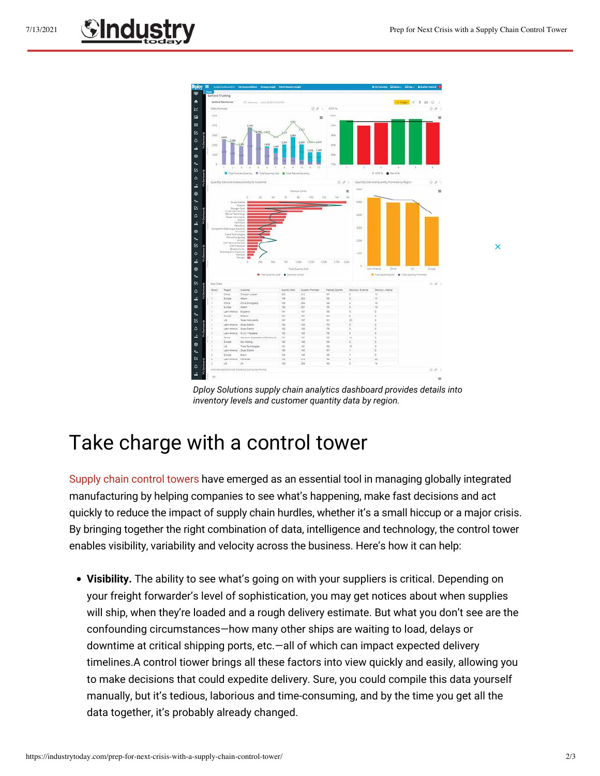$\overline{\mathsf{x}}$ 



*Dploy Solutions supply chain analytics dashboard provides details into inventory levels and customer quantity data by region.*

## Take charge with a control tower

[Supply chain control towers](https://www.dploysolutions.com/blog/visibility-variability-velocity-the-value-of-a-supply-chain-control-tower/) have emerged as an essential tool in managing globally integrated manufacturing by helping companies to see what's happening, make fast decisions and act quickly to reduce the impact of supply chain hurdles, whether it's a small hiccup or a major crisis. By bringing together the right combination of data, intelligence and technology, the control tower enables visibility, variability and velocity across the business. Here's how it can help:

**• Visibility.** The ability to see what's going on with your suppliers is critical. Depending on your freight forwarder's level of sophistication, you may get notices about when supplies will ship, when they're loaded and a rough delivery estimate. But what you don't see are the confounding circumstances—how many other ships are waiting to load, delays or downtime at critical shipping ports, etc.—all of which can impact expected delivery timelines.A control tiower brings all these factors into view quickly and easily, allowing you to make decisions that could expedite delivery. Sure, you could compile this data yourself manually, but it's tedious, laborious and time-consuming, and by the time you get all the data together, it's probably already changed.